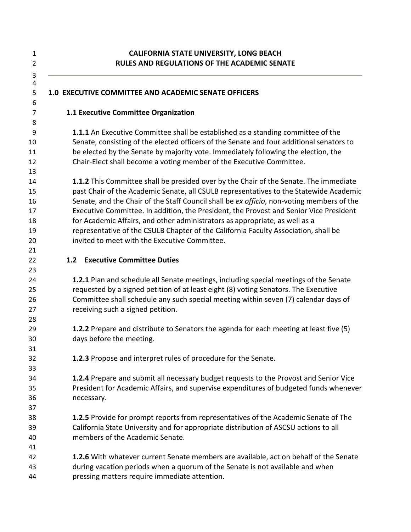| $\mathbf{1}$   | <b>CALIFORNIA STATE UNIVERSITY, LONG BEACH</b>                                                                                       |
|----------------|--------------------------------------------------------------------------------------------------------------------------------------|
| $\overline{2}$ | <b>RULES AND REGULATIONS OF THE ACADEMIC SENATE</b>                                                                                  |
| 3<br>4         |                                                                                                                                      |
| 5              | <b>1.0 EXECUTIVE COMMITTEE AND ACADEMIC SENATE OFFICERS</b>                                                                          |
| 6              |                                                                                                                                      |
| $\overline{7}$ | 1.1 Executive Committee Organization                                                                                                 |
| 8              |                                                                                                                                      |
| 9              | 1.1.1 An Executive Committee shall be established as a standing committee of the                                                     |
| 10             | Senate, consisting of the elected officers of the Senate and four additional senators to                                             |
| 11             | be elected by the Senate by majority vote. Immediately following the election, the                                                   |
| 12             | Chair-Elect shall become a voting member of the Executive Committee.                                                                 |
| 13             |                                                                                                                                      |
| 14             | 1.1.2 This Committee shall be presided over by the Chair of the Senate. The immediate                                                |
| 15             | past Chair of the Academic Senate, all CSULB representatives to the Statewide Academic                                               |
| 16             | Senate, and the Chair of the Staff Council shall be ex officio, non-voting members of the                                            |
| 17             | Executive Committee. In addition, the President, the Provost and Senior Vice President                                               |
| 18             | for Academic Affairs, and other administrators as appropriate, as well as a                                                          |
| 19             | representative of the CSULB Chapter of the California Faculty Association, shall be<br>invited to meet with the Executive Committee. |
| 20             |                                                                                                                                      |
| 21<br>22       | <b>Executive Committee Duties</b><br>1.2                                                                                             |
| 23             |                                                                                                                                      |
| 24             | <b>1.2.1</b> Plan and schedule all Senate meetings, including special meetings of the Senate                                         |
| 25             | requested by a signed petition of at least eight (8) voting Senators. The Executive                                                  |
| 26             | Committee shall schedule any such special meeting within seven (7) calendar days of                                                  |
| 27             | receiving such a signed petition.                                                                                                    |
| 28             |                                                                                                                                      |
| 29             | 1.2.2 Prepare and distribute to Senators the agenda for each meeting at least five (5)                                               |
| 30             | days before the meeting.                                                                                                             |
| 31             |                                                                                                                                      |
| 32             | 1.2.3 Propose and interpret rules of procedure for the Senate.                                                                       |
| 33             |                                                                                                                                      |
| 34             | <b>1.2.4</b> Prepare and submit all necessary budget requests to the Provost and Senior Vice                                         |
| 35             | President for Academic Affairs, and supervise expenditures of budgeted funds whenever                                                |
| 36             | necessary.                                                                                                                           |
| 37             |                                                                                                                                      |
| 38             | <b>1.2.5</b> Provide for prompt reports from representatives of the Academic Senate of The                                           |
| 39             | California State University and for appropriate distribution of ASCSU actions to all                                                 |
| 40             | members of the Academic Senate.                                                                                                      |
| 41             |                                                                                                                                      |
| 42             | <b>1.2.6</b> With whatever current Senate members are available, act on behalf of the Senate                                         |
| 43             | during vacation periods when a quorum of the Senate is not available and when                                                        |
| 44             | pressing matters require immediate attention.                                                                                        |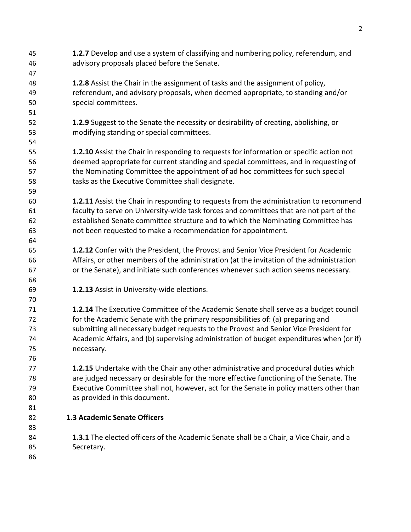- **1.2.7** Develop and use a system of classifying and numbering policy, referendum, and advisory proposals placed before the Senate.
- **1.2.8** Assist the Chair in the assignment of tasks and the assignment of policy, referendum, and advisory proposals, when deemed appropriate, to standing and/or special committees.
- **1.2.9** Suggest to the Senate the necessity or desirability of creating, abolishing, or modifying standing or special committees.
- **1.2.10** Assist the Chair in responding to requests for information or specific action not deemed appropriate for current standing and special committees, and in requesting of the Nominating Committee the appointment of ad hoc committees for such special tasks as the Executive Committee shall designate.
- **1.2.11** Assist the Chair in responding to requests from the administration to recommend faculty to serve on University-wide task forces and committees that are not part of the established Senate committee structure and to which the Nominating Committee has not been requested to make a recommendation for appointment.
- **1.2.12** Confer with the President, the Provost and Senior Vice President for Academic Affairs, or other members of the administration (at the invitation of the administration or the Senate), and initiate such conferences whenever such action seems necessary.
- **1.2.13** Assist in University-wide elections.

 **1.2.14** The Executive Committee of the Academic Senate shall serve as a budget council for the Academic Senate with the primary responsibilities of: (a) preparing and submitting all necessary budget requests to the Provost and Senior Vice President for Academic Affairs, and (b) supervising administration of budget expenditures when (or if) necessary.

 **1.2.15** Undertake with the Chair any other administrative and procedural duties which are judged necessary or desirable for the more effective functioning of the Senate. The Executive Committee shall not, however, act for the Senate in policy matters other than as provided in this document.

 

- **1.3 Academic Senate Officers**
- **1.3.1** The elected officers of the Academic Senate shall be a Chair, a Vice Chair, and a Secretary.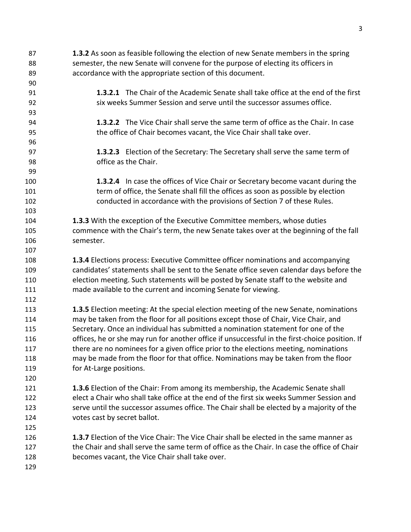**1.3.2** As soon as feasible following the election of new Senate members in the spring semester, the new Senate will convene for the purpose of electing its officers in accordance with the appropriate section of this document. **1.3.2.1** The Chair of the Academic Senate shall take office at the end of the first six weeks Summer Session and serve until the successor assumes office. **1.3.2.2** The Vice Chair shall serve the same term of office as the Chair. In case the office of Chair becomes vacant, the Vice Chair shall take over. **1.3.2.3** Election of the Secretary: The Secretary shall serve the same term of office as the Chair. **1.3.2.4** In case the offices of Vice Chair or Secretary become vacant during the term of office, the Senate shall fill the offices as soon as possible by election conducted in accordance with the provisions of Section 7 of these Rules. **1.3.3** With the exception of the Executive Committee members, whose duties commence with the Chair's term, the new Senate takes over at the beginning of the fall semester. **1.3.4** Elections process: Executive Committee officer nominations and accompanying candidates' statements shall be sent to the Senate office seven calendar days before the election meeting. Such statements will be posted by Senate staff to the website and made available to the current and incoming Senate for viewing. **1.3.5** Election meeting: At the special election meeting of the new Senate, nominations may be taken from the floor for all positions except those of Chair, Vice Chair, and Secretary. Once an individual has submitted a nomination statement for one of the 116 offices, he or she may run for another office if unsuccessful in the first-choice position. If 117 there are no nominees for a given office prior to the elections meeting, nominations may be made from the floor for that office. Nominations may be taken from the floor for At-Large positions. **1.3.6** Election of the Chair: From among its membership, the Academic Senate shall elect a Chair who shall take office at the end of the first six weeks Summer Session and 123 serve until the successor assumes office. The Chair shall be elected by a majority of the votes cast by secret ballot. **1.3.7** Election of the Vice Chair: The Vice Chair shall be elected in the same manner as 127 the Chair and shall serve the same term of office as the Chair. In case the office of Chair becomes vacant, the Vice Chair shall take over.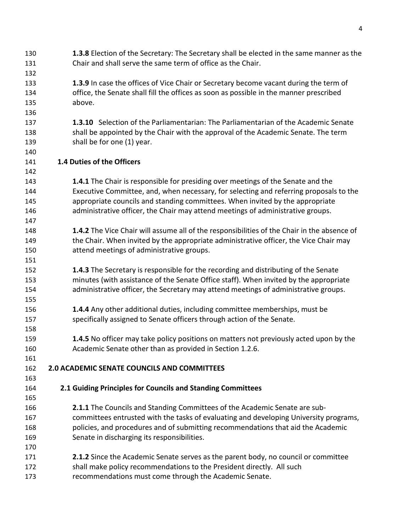**1.3.8** Election of the Secretary: The Secretary shall be elected in the same manner as the Chair and shall serve the same term of office as the Chair. **1.3.9** In case the offices of Vice Chair or Secretary become vacant during the term of office, the Senate shall fill the offices as soon as possible in the manner prescribed above. **1.3.10** Selection of the Parliamentarian: The Parliamentarian of the Academic Senate shall be appointed by the Chair with the approval of the Academic Senate. The term shall be for one (1) year.  **1.4 Duties of the Officers 1.4.1** The Chair is responsible for presiding over meetings of the Senate and the Executive Committee, and, when necessary, for selecting and referring proposals to the appropriate councils and standing committees. When invited by the appropriate administrative officer, the Chair may attend meetings of administrative groups. **1.4.2** The Vice Chair will assume all of the responsibilities of the Chair in the absence of 149 the Chair. When invited by the appropriate administrative officer, the Vice Chair may attend meetings of administrative groups. **1.4.3** The Secretary is responsible for the recording and distributing of the Senate minutes (with assistance of the Senate Office staff). When invited by the appropriate administrative officer, the Secretary may attend meetings of administrative groups. **1.4.4** Any other additional duties, including committee memberships, must be specifically assigned to Senate officers through action of the Senate. **1.4.5** No officer may take policy positions on matters not previously acted upon by the Academic Senate other than as provided in Section 1.2.6. **2.0 ACADEMIC SENATE COUNCILS AND COMMITTEES 2.1 Guiding Principles for Councils and Standing Committees 2.1.1** The Councils and Standing Committees of the Academic Senate are sub- committees entrusted with the tasks of evaluating and developing University programs, policies, and procedures and of submitting recommendations that aid the Academic Senate in discharging its responsibilities. **2.1.2** Since the Academic Senate serves as the parent body, no council or committee shall make policy recommendations to the President directly. All such recommendations must come through the Academic Senate.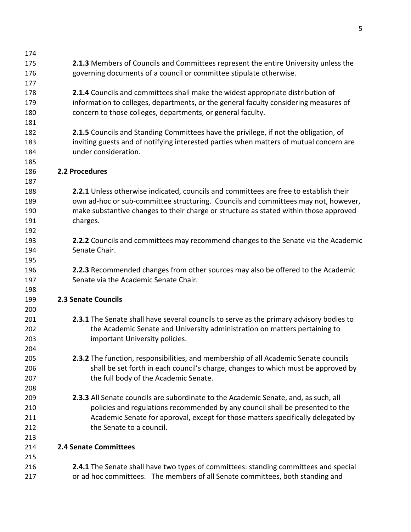| 175 | <b>2.1.3</b> Members of Councils and Committees represent the entire University unless the     |
|-----|------------------------------------------------------------------------------------------------|
| 176 | governing documents of a council or committee stipulate otherwise.                             |
| 177 |                                                                                                |
| 178 | <b>2.1.4</b> Councils and committees shall make the widest appropriate distribution of         |
| 179 | information to colleges, departments, or the general faculty considering measures of           |
| 180 | concern to those colleges, departments, or general faculty.                                    |
| 181 |                                                                                                |
| 182 | 2.1.5 Councils and Standing Committees have the privilege, if not the obligation, of           |
| 183 | inviting guests and of notifying interested parties when matters of mutual concern are         |
| 184 | under consideration.                                                                           |
| 185 |                                                                                                |
| 186 | 2.2 Procedures                                                                                 |
| 187 |                                                                                                |
| 188 | 2.2.1 Unless otherwise indicated, councils and committees are free to establish their          |
| 189 | own ad-hoc or sub-committee structuring. Councils and committees may not, however,             |
| 190 | make substantive changes to their charge or structure as stated within those approved          |
| 191 | charges.                                                                                       |
| 192 |                                                                                                |
| 193 | <b>2.2.2</b> Councils and committees may recommend changes to the Senate via the Academic      |
| 194 | Senate Chair.                                                                                  |
| 195 |                                                                                                |
| 196 | <b>2.2.3</b> Recommended changes from other sources may also be offered to the Academic        |
| 197 | Senate via the Academic Senate Chair.                                                          |
| 198 |                                                                                                |
| 199 | 2.3 Senate Councils                                                                            |
| 200 |                                                                                                |
| 201 | <b>2.3.1</b> The Senate shall have several councils to serve as the primary advisory bodies to |
| 202 | the Academic Senate and University administration on matters pertaining to                     |
| 203 | important University policies.                                                                 |
| 204 |                                                                                                |
| 205 | 2.3.2 The function, responsibilities, and membership of all Academic Senate councils           |
| 206 | shall be set forth in each council's charge, changes to which must be approved by              |
| 207 | the full body of the Academic Senate.                                                          |
| 208 |                                                                                                |
| 209 | 2.3.3 All Senate councils are subordinate to the Academic Senate, and, as such, all            |
| 210 | policies and regulations recommended by any council shall be presented to the                  |
| 211 | Academic Senate for approval, except for those matters specifically delegated by               |
| 212 | the Senate to a council.                                                                       |
| 213 |                                                                                                |
| 214 | <b>2.4 Senate Committees</b>                                                                   |
| 215 |                                                                                                |
| 216 | 2.4.1 The Senate shall have two types of committees: standing committees and special           |
| 217 | or ad hoc committees. The members of all Senate committees, both standing and                  |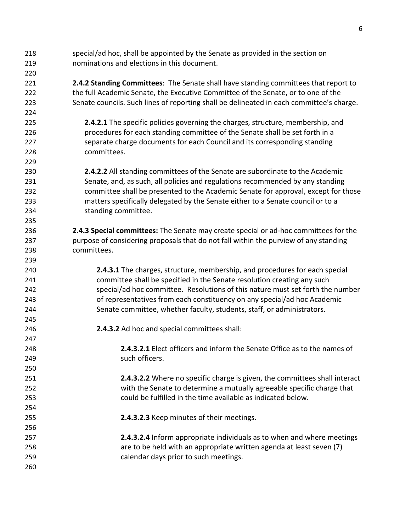| 218<br>219<br>220 | special/ad hoc, shall be appointed by the Senate as provided in the section on<br>nominations and elections in this document.                                            |
|-------------------|--------------------------------------------------------------------------------------------------------------------------------------------------------------------------|
| 221<br>222        | 2.4.2 Standing Committees: The Senate shall have standing committees that report to<br>the full Academic Senate, the Executive Committee of the Senate, or to one of the |
| 223<br>224        | Senate councils. Such lines of reporting shall be delineated in each committee's charge.                                                                                 |
| 225               | 2.4.2.1 The specific policies governing the charges, structure, membership, and                                                                                          |
| 226               | procedures for each standing committee of the Senate shall be set forth in a                                                                                             |
| 227               | separate charge documents for each Council and its corresponding standing                                                                                                |
| 228               | committees.                                                                                                                                                              |
| 229               |                                                                                                                                                                          |
| 230               | 2.4.2.2 All standing committees of the Senate are subordinate to the Academic                                                                                            |
| 231               | Senate, and, as such, all policies and regulations recommended by any standing                                                                                           |
| 232               | committee shall be presented to the Academic Senate for approval, except for those                                                                                       |
| 233               | matters specifically delegated by the Senate either to a Senate council or to a                                                                                          |
| 234               | standing committee.                                                                                                                                                      |
| 235               |                                                                                                                                                                          |
| 236               | 2.4.3 Special committees: The Senate may create special or ad-hoc committees for the                                                                                     |
| 237               | purpose of considering proposals that do not fall within the purview of any standing                                                                                     |
| 238               | committees.                                                                                                                                                              |
| 239               |                                                                                                                                                                          |
| 240               | 2.4.3.1 The charges, structure, membership, and procedures for each special                                                                                              |
| 241               | committee shall be specified in the Senate resolution creating any such                                                                                                  |
| 242               | special/ad hoc committee. Resolutions of this nature must set forth the number                                                                                           |
| 243               | of representatives from each constituency on any special/ad hoc Academic                                                                                                 |
| 244               | Senate committee, whether faculty, students, staff, or administrators.                                                                                                   |
| 245               |                                                                                                                                                                          |
| 246               | 2.4.3.2 Ad hoc and special committees shall:                                                                                                                             |
| 247               |                                                                                                                                                                          |
| 248               | 2.4.3.2.1 Elect officers and inform the Senate Office as to the names of                                                                                                 |
| 249               | such officers.                                                                                                                                                           |
| 250               |                                                                                                                                                                          |
| 251               | 2.4.3.2.2 Where no specific charge is given, the committees shall interact                                                                                               |
| 252               | with the Senate to determine a mutually agreeable specific charge that                                                                                                   |
| 253               | could be fulfilled in the time available as indicated below.                                                                                                             |
| 254               |                                                                                                                                                                          |
| 255               | 2.4.3.2.3 Keep minutes of their meetings.                                                                                                                                |
| 256               |                                                                                                                                                                          |
| 257               | 2.4.3.2.4 Inform appropriate individuals as to when and where meetings                                                                                                   |
| 258               | are to be held with an appropriate written agenda at least seven (7)                                                                                                     |
| 259               | calendar days prior to such meetings.                                                                                                                                    |
| 260               |                                                                                                                                                                          |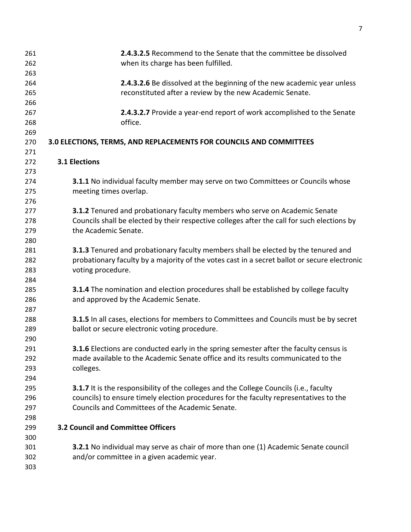| 261<br>262 | 2.4.3.2.5 Recommend to the Senate that the committee be dissolved<br>when its charge has been fulfilled. |
|------------|----------------------------------------------------------------------------------------------------------|
| 263        |                                                                                                          |
| 264        | 2.4.3.2.6 Be dissolved at the beginning of the new academic year unless                                  |
| 265        | reconstituted after a review by the new Academic Senate.                                                 |
| 266        |                                                                                                          |
| 267        | 2.4.3.2.7 Provide a year-end report of work accomplished to the Senate                                   |
| 268        | office.                                                                                                  |
| 269        |                                                                                                          |
| 270        | 3.0 ELECTIONS, TERMS, AND REPLACEMENTS FOR COUNCILS AND COMMITTEES                                       |
| 271        |                                                                                                          |
| 272        | 3.1 Elections                                                                                            |
| 273        |                                                                                                          |
| 274        | <b>3.1.1</b> No individual faculty member may serve on two Committees or Councils whose                  |
| 275        | meeting times overlap.                                                                                   |
| 276        |                                                                                                          |
| 277        | 3.1.2 Tenured and probationary faculty members who serve on Academic Senate                              |
| 278        | Councils shall be elected by their respective colleges after the call for such elections by              |
| 279        | the Academic Senate.                                                                                     |
| 280        |                                                                                                          |
| 281        | 3.1.3 Tenured and probationary faculty members shall be elected by the tenured and                       |
| 282        | probationary faculty by a majority of the votes cast in a secret ballot or secure electronic             |
| 283        | voting procedure.                                                                                        |
| 284        |                                                                                                          |
| 285        | 3.1.4 The nomination and election procedures shall be established by college faculty                     |
| 286        | and approved by the Academic Senate.                                                                     |
| 287        |                                                                                                          |
| 288        | <b>3.1.5</b> In all cases, elections for members to Committees and Councils must be by secret            |
| 289        | ballot or secure electronic voting procedure.                                                            |
| 290        |                                                                                                          |
| 291        | 3.1.6 Elections are conducted early in the spring semester after the faculty census is                   |
| 292        | made available to the Academic Senate office and its results communicated to the                         |
| 293        | colleges.                                                                                                |
| 294        |                                                                                                          |
| 295        | <b>3.1.7</b> It is the responsibility of the colleges and the College Councils (i.e., faculty            |
| 296        | councils) to ensure timely election procedures for the faculty representatives to the                    |
| 297        | Councils and Committees of the Academic Senate.                                                          |
| 298        |                                                                                                          |
| 299        | <b>3.2 Council and Committee Officers</b>                                                                |
| 300        |                                                                                                          |
| 301        | <b>3.2.1</b> No individual may serve as chair of more than one (1) Academic Senate council               |
| 302        | and/or committee in a given academic year.                                                               |
| 303        |                                                                                                          |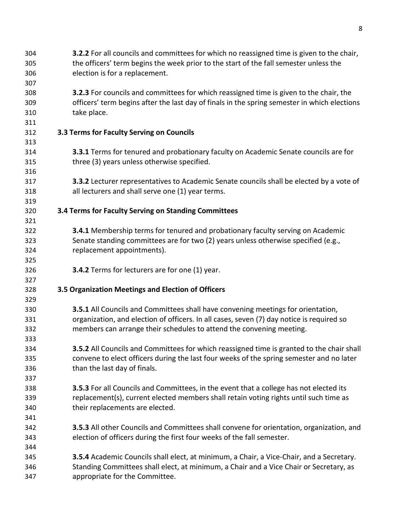| 304<br>305 | <b>3.2.2</b> For all councils and committees for which no reassigned time is given to the chair,<br>the officers' term begins the week prior to the start of the fall semester unless the |
|------------|-------------------------------------------------------------------------------------------------------------------------------------------------------------------------------------------|
| 306        | election is for a replacement.                                                                                                                                                            |
| 307        |                                                                                                                                                                                           |
| 308        | <b>3.2.3</b> For councils and committees for which reassigned time is given to the chair, the                                                                                             |
| 309        | officers' term begins after the last day of finals in the spring semester in which elections                                                                                              |
| 310        | take place.                                                                                                                                                                               |
| 311        |                                                                                                                                                                                           |
| 312        | 3.3 Terms for Faculty Serving on Councils                                                                                                                                                 |
| 313        |                                                                                                                                                                                           |
| 314        | <b>3.3.1</b> Terms for tenured and probationary faculty on Academic Senate councils are for                                                                                               |
| 315        | three (3) years unless otherwise specified.                                                                                                                                               |
| 316        |                                                                                                                                                                                           |
| 317        | <b>3.3.2</b> Lecturer representatives to Academic Senate councils shall be elected by a vote of                                                                                           |
| 318        | all lecturers and shall serve one (1) year terms.                                                                                                                                         |
| 319        |                                                                                                                                                                                           |
| 320        | 3.4 Terms for Faculty Serving on Standing Committees                                                                                                                                      |
| 321        |                                                                                                                                                                                           |
| 322        | <b>3.4.1</b> Membership terms for tenured and probationary faculty serving on Academic                                                                                                    |
| 323        | Senate standing committees are for two (2) years unless otherwise specified (e.g.,                                                                                                        |
| 324        | replacement appointments).                                                                                                                                                                |
| 325        |                                                                                                                                                                                           |
| 326        | 3.4.2 Terms for lecturers are for one (1) year.                                                                                                                                           |
| 327        |                                                                                                                                                                                           |
| 328        | 3.5 Organization Meetings and Election of Officers                                                                                                                                        |
| 329        |                                                                                                                                                                                           |
| 330        | 3.5.1 All Councils and Committees shall have convening meetings for orientation,                                                                                                          |
| 331        | organization, and election of officers. In all cases, seven (7) day notice is required so                                                                                                 |
| 332        | members can arrange their schedules to attend the convening meeting.                                                                                                                      |
| 333        |                                                                                                                                                                                           |
| 334        | 3.5.2 All Councils and Committees for which reassigned time is granted to the chair shall                                                                                                 |
| 335        | convene to elect officers during the last four weeks of the spring semester and no later                                                                                                  |
| 336        | than the last day of finals.                                                                                                                                                              |
| 337        |                                                                                                                                                                                           |
| 338        | 3.5.3 For all Councils and Committees, in the event that a college has not elected its                                                                                                    |
| 339        | replacement(s), current elected members shall retain voting rights until such time as                                                                                                     |
| 340        | their replacements are elected.                                                                                                                                                           |
| 341        |                                                                                                                                                                                           |
| 342        | 3.5.3 All other Councils and Committees shall convene for orientation, organization, and                                                                                                  |
| 343        | election of officers during the first four weeks of the fall semester.                                                                                                                    |
| 344        |                                                                                                                                                                                           |
| 345        | <b>3.5.4</b> Academic Councils shall elect, at minimum, a Chair, a Vice-Chair, and a Secretary.                                                                                           |
| 346        | Standing Committees shall elect, at minimum, a Chair and a Vice Chair or Secretary, as                                                                                                    |
| 347        | appropriate for the Committee.                                                                                                                                                            |
|            |                                                                                                                                                                                           |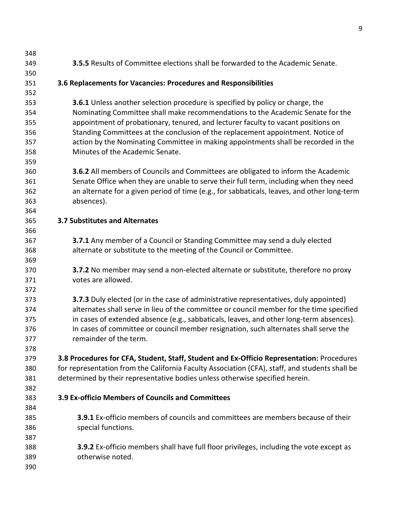| 348 |                                                                                                |
|-----|------------------------------------------------------------------------------------------------|
| 349 | <b>3.5.5</b> Results of Committee elections shall be forwarded to the Academic Senate.         |
| 350 |                                                                                                |
| 351 | 3.6 Replacements for Vacancies: Procedures and Responsibilities                                |
| 352 |                                                                                                |
| 353 | <b>3.6.1</b> Unless another selection procedure is specified by policy or charge, the          |
| 354 | Nominating Committee shall make recommendations to the Academic Senate for the                 |
| 355 | appointment of probationary, tenured, and lecturer faculty to vacant positions on              |
| 356 | Standing Committees at the conclusion of the replacement appointment. Notice of                |
| 357 | action by the Nominating Committee in making appointments shall be recorded in the             |
| 358 | Minutes of the Academic Senate.                                                                |
| 359 |                                                                                                |
| 360 | <b>3.6.2</b> All members of Councils and Committees are obligated to inform the Academic       |
| 361 | Senate Office when they are unable to serve their full term, including when they need          |
| 362 | an alternate for a given period of time (e.g., for sabbaticals, leaves, and other long-term    |
| 363 | absences).                                                                                     |
| 364 |                                                                                                |
| 365 | <b>3.7 Substitutes and Alternates</b>                                                          |
| 366 |                                                                                                |
| 367 | <b>3.7.1</b> Any member of a Council or Standing Committee may send a duly elected             |
| 368 | alternate or substitute to the meeting of the Council or Committee.                            |
| 369 |                                                                                                |
| 370 | 3.7.2 No member may send a non-elected alternate or substitute, therefore no proxy             |
| 371 | votes are allowed.                                                                             |
| 372 |                                                                                                |
| 373 | <b>3.7.3</b> Duly elected (or in the case of administrative representatives, duly appointed)   |
| 374 | alternates shall serve in lieu of the committee or council member for the time specified       |
| 375 | in cases of extended absence (e.g., sabbaticals, leaves, and other long-term absences).        |
| 376 | In cases of committee or council member resignation, such alternates shall serve the           |
| 377 | remainder of the term.                                                                         |
| 378 |                                                                                                |
| 379 | 3.8 Procedures for CFA, Student, Staff, Student and Ex-Officio Representation: Procedures      |
| 380 | for representation from the California Faculty Association (CFA), staff, and students shall be |
| 381 | determined by their representative bodies unless otherwise specified herein.                   |
| 382 |                                                                                                |
| 383 | 3.9 Ex-officio Members of Councils and Committees                                              |
| 384 |                                                                                                |
| 385 | <b>3.9.1</b> Ex-officio members of councils and committees are members because of their        |
| 386 | special functions.                                                                             |
| 387 |                                                                                                |
| 388 | <b>3.9.2</b> Ex-officio members shall have full floor privileges, including the vote except as |
| 389 | otherwise noted.                                                                               |
| 390 |                                                                                                |
|     |                                                                                                |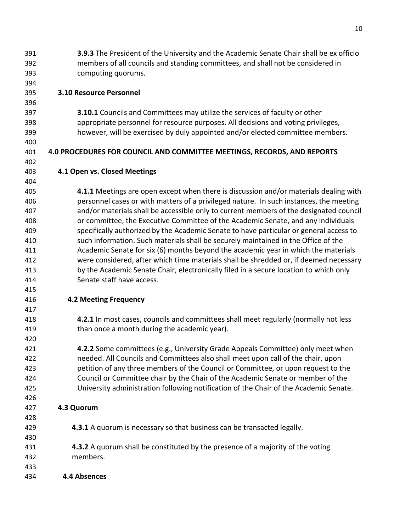**3.9.3** The President of the University and the Academic Senate Chair shall be ex officio members of all councils and standing committees, and shall not be considered in computing quorums.

- **3.10 Resource Personnel**
- **3.10.1** Councils and Committees may utilize the services of faculty or other appropriate personnel for resource purposes. All decisions and voting privileges, however, will be exercised by duly appointed and/or elected committee members.

## **4.0 PROCEDURES FOR COUNCIL AND COMMITTEE MEETINGS, RECORDS, AND REPORTS**

## **4.1 Open vs. Closed Meetings**

 **4.1.1** Meetings are open except when there is discussion and/or materials dealing with personnel cases or with matters of a privileged nature. In such instances, the meeting and/or materials shall be accessible only to current members of the designated council or committee, the Executive Committee of the Academic Senate, and any individuals specifically authorized by the Academic Senate to have particular or general access to such information. Such materials shall be securely maintained in the Office of the Academic Senate for six (6) months beyond the academic year in which the materials were considered, after which time materials shall be shredded or, if deemed necessary by the Academic Senate Chair, electronically filed in a secure location to which only Senate staff have access.

## **4.2 Meeting Frequency**

- **4.2.1** In most cases, councils and committees shall meet regularly (normally not less than once a month during the academic year).
- **4.2.2** Some committees (e.g., University Grade Appeals Committee) only meet when needed. All Councils and Committees also shall meet upon call of the chair, upon petition of any three members of the Council or Committee, or upon request to the Council or Committee chair by the Chair of the Academic Senate or member of the University administration following notification of the Chair of the Academic Senate.
- **4.3 Quorum**
- **4.3.1** A quorum is necessary so that business can be transacted legally.
- **4.3.2** A quorum shall be constituted by the presence of a majority of the voting members.
- 
- **4.4 Absences**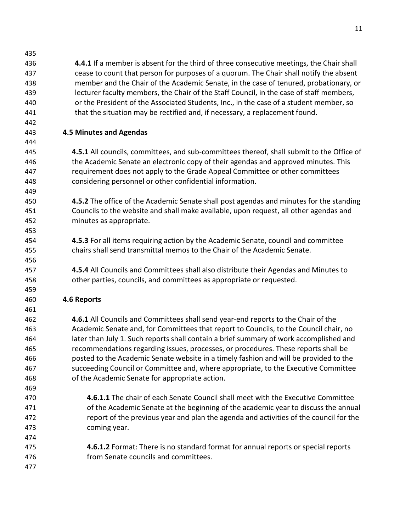**4.4.1** If a member is absent for the third of three consecutive meetings, the Chair shall cease to count that person for purposes of a quorum. The Chair shall notify the absent member and the Chair of the Academic Senate, in the case of tenured, probationary, or lecturer faculty members, the Chair of the Staff Council, in the case of staff members, or the President of the Associated Students, Inc., in the case of a student member, so that the situation may be rectified and, if necessary, a replacement found.

## **4.5 Minutes and Agendas**

 **4.5.1** All councils, committees, and sub-committees thereof, shall submit to the Office of the Academic Senate an electronic copy of their agendas and approved minutes. This requirement does not apply to the Grade Appeal Committee or other committees considering personnel or other confidential information.

 **4.5.2** The office of the Academic Senate shall post agendas and minutes for the standing Councils to the website and shall make available, upon request, all other agendas and minutes as appropriate.

- **4.5.3** For all items requiring action by the Academic Senate, council and committee chairs shall send transmittal memos to the Chair of the Academic Senate.
- **4.5.4** All Councils and Committees shall also distribute their Agendas and Minutes to other parties, councils, and committees as appropriate or requested.

### **4.6 Reports**

 **4.6.1** All Councils and Committees shall send year-end reports to the Chair of the Academic Senate and, for Committees that report to Councils, to the Council chair, no later than July 1. Such reports shall contain a brief summary of work accomplished and recommendations regarding issues, processes, or procedures. These reports shall be posted to the Academic Senate website in a timely fashion and will be provided to the succeeding Council or Committee and, where appropriate, to the Executive Committee of the Academic Senate for appropriate action.

- **4.6.1.1** The chair of each Senate Council shall meet with the Executive Committee of the Academic Senate at the beginning of the academic year to discuss the annual report of the previous year and plan the agenda and activities of the council for the coming year.
- **4.6.1.2** Format: There is no standard format for annual reports or special reports from Senate councils and committees.
-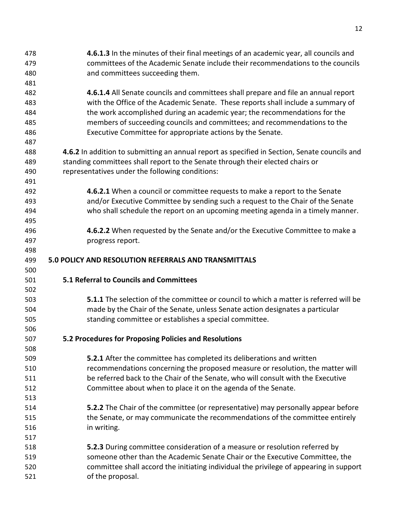| 478<br>479 | 4.6.1.3 In the minutes of their final meetings of an academic year, all councils and<br>committees of the Academic Senate include their recommendations to the councils         |
|------------|---------------------------------------------------------------------------------------------------------------------------------------------------------------------------------|
| 480        | and committees succeeding them.                                                                                                                                                 |
| 481        |                                                                                                                                                                                 |
| 482        | 4.6.1.4 All Senate councils and committees shall prepare and file an annual report                                                                                              |
| 483        | with the Office of the Academic Senate. These reports shall include a summary of                                                                                                |
| 484        | the work accomplished during an academic year; the recommendations for the                                                                                                      |
| 485        | members of succeeding councils and committees; and recommendations to the                                                                                                       |
| 486        | Executive Committee for appropriate actions by the Senate.                                                                                                                      |
| 487        |                                                                                                                                                                                 |
| 488        |                                                                                                                                                                                 |
|            | 4.6.2 In addition to submitting an annual report as specified in Section, Senate councils and<br>standing committees shall report to the Senate through their elected chairs or |
| 489        |                                                                                                                                                                                 |
| 490        | representatives under the following conditions:                                                                                                                                 |
| 491<br>492 | 4.6.2.1 When a council or committee requests to make a report to the Senate                                                                                                     |
|            | and/or Executive Committee by sending such a request to the Chair of the Senate                                                                                                 |
| 493<br>494 |                                                                                                                                                                                 |
|            | who shall schedule the report on an upcoming meeting agenda in a timely manner.                                                                                                 |
| 495<br>496 |                                                                                                                                                                                 |
| 497        | 4.6.2.2 When requested by the Senate and/or the Executive Committee to make a                                                                                                   |
|            | progress report.                                                                                                                                                                |
| 498        | 5.0 POLICY AND RESOLUTION REFERRALS AND TRANSMITTALS                                                                                                                            |
| 499        |                                                                                                                                                                                 |
| 500<br>501 | 5.1 Referral to Councils and Committees                                                                                                                                         |
|            |                                                                                                                                                                                 |
|            |                                                                                                                                                                                 |
| 502        |                                                                                                                                                                                 |
| 503        | <b>5.1.1</b> The selection of the committee or council to which a matter is referred will be                                                                                    |
| 504        | made by the Chair of the Senate, unless Senate action designates a particular                                                                                                   |
| 505        | standing committee or establishes a special committee.                                                                                                                          |
| 506        |                                                                                                                                                                                 |
| 507        | 5.2 Procedures for Proposing Policies and Resolutions                                                                                                                           |
| 508        |                                                                                                                                                                                 |
| 509        | <b>5.2.1</b> After the committee has completed its deliberations and written                                                                                                    |
| 510        | recommendations concerning the proposed measure or resolution, the matter will                                                                                                  |
| 511        | be referred back to the Chair of the Senate, who will consult with the Executive                                                                                                |
| 512        | Committee about when to place it on the agenda of the Senate.                                                                                                                   |
| 513        |                                                                                                                                                                                 |
| 514        | 5.2.2 The Chair of the committee (or representative) may personally appear before                                                                                               |
| 515        | the Senate, or may communicate the recommendations of the committee entirely                                                                                                    |
| 516        | in writing.                                                                                                                                                                     |
| 517        |                                                                                                                                                                                 |
| 518        | 5.2.3 During committee consideration of a measure or resolution referred by                                                                                                     |
| 519<br>520 | someone other than the Academic Senate Chair or the Executive Committee, the<br>committee shall accord the initiating individual the privilege of appearing in support          |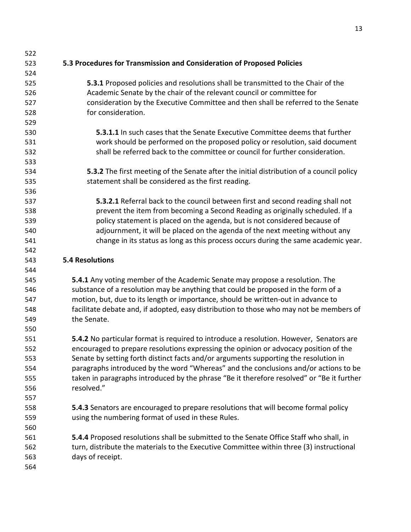| 5.3 Procedures for Transmission and Consideration of Proposed Policies                        |
|-----------------------------------------------------------------------------------------------|
|                                                                                               |
| 5.3.1 Proposed policies and resolutions shall be transmitted to the Chair of the              |
| Academic Senate by the chair of the relevant council or committee for                         |
| consideration by the Executive Committee and then shall be referred to the Senate             |
| for consideration.                                                                            |
|                                                                                               |
| <b>5.3.1.1</b> In such cases that the Senate Executive Committee deems that further           |
| work should be performed on the proposed policy or resolution, said document                  |
| shall be referred back to the committee or council for further consideration.                 |
|                                                                                               |
| 5.3.2 The first meeting of the Senate after the initial distribution of a council policy      |
| statement shall be considered as the first reading.                                           |
|                                                                                               |
| 5.3.2.1 Referral back to the council between first and second reading shall not               |
| prevent the item from becoming a Second Reading as originally scheduled. If a                 |
| policy statement is placed on the agenda, but is not considered because of                    |
| adjournment, it will be placed on the agenda of the next meeting without any                  |
| change in its status as long as this process occurs during the same academic year.            |
|                                                                                               |
| <b>5.4 Resolutions</b>                                                                        |
|                                                                                               |
| <b>5.4.1</b> Any voting member of the Academic Senate may propose a resolution. The           |
| substance of a resolution may be anything that could be proposed in the form of a             |
| motion, but, due to its length or importance, should be written-out in advance to             |
| facilitate debate and, if adopted, easy distribution to those who may not be members of       |
| the Senate.                                                                                   |
|                                                                                               |
| 5.4.2 No particular format is required to introduce a resolution. However, Senators are       |
| encouraged to prepare resolutions expressing the opinion or advocacy position of the          |
| Senate by setting forth distinct facts and/or arguments supporting the resolution in          |
| paragraphs introduced by the word "Whereas" and the conclusions and/or actions to be          |
| taken in paragraphs introduced by the phrase "Be it therefore resolved" or "Be it further     |
| resolved."                                                                                    |
|                                                                                               |
| 5.4.3 Senators are encouraged to prepare resolutions that will become formal policy           |
| using the numbering format of used in these Rules.                                            |
|                                                                                               |
| <b>5.4.4</b> Proposed resolutions shall be submitted to the Senate Office Staff who shall, in |
| turn, distribute the materials to the Executive Committee within three (3) instructional      |
|                                                                                               |
| days of receipt.                                                                              |
|                                                                                               |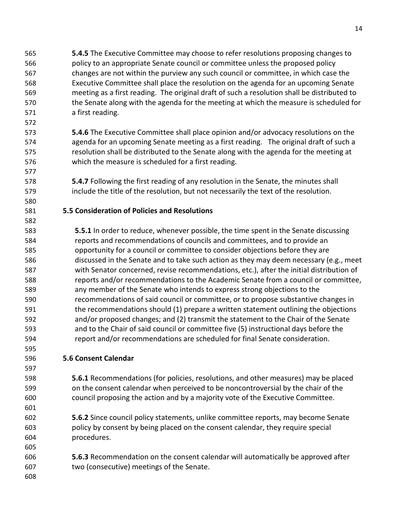**5.4.5** The Executive Committee may choose to refer resolutions proposing changes to policy to an appropriate Senate council or committee unless the proposed policy changes are not within the purview any such council or committee, in which case the Executive Committee shall place the resolution on the agenda for an upcoming Senate meeting as a first reading. The original draft of such a resolution shall be distributed to 570 the Senate along with the agenda for the meeting at which the measure is scheduled for a first reading.

 **5.4.6** The Executive Committee shall place opinion and/or advocacy resolutions on the agenda for an upcoming Senate meeting as a first reading. The original draft of such a resolution shall be distributed to the Senate along with the agenda for the meeting at which the measure is scheduled for a first reading.

 **5.4.7** Following the first reading of any resolution in the Senate, the minutes shall include the title of the resolution, but not necessarily the text of the resolution.

# **5.5 Consideration of Policies and Resolutions**

 **5.5.1** In order to reduce, whenever possible, the time spent in the Senate discussing reports and recommendations of councils and committees, and to provide an opportunity for a council or committee to consider objections before they are discussed in the Senate and to take such action as they may deem necessary (e.g., meet with Senator concerned, revise recommendations, etc.), after the initial distribution of reports and/or recommendations to the Academic Senate from a council or committee, any member of the Senate who intends to express strong objections to the recommendations of said council or committee, or to propose substantive changes in the recommendations should (1) prepare a written statement outlining the objections and/or proposed changes; and (2) transmit the statement to the Chair of the Senate and to the Chair of said council or committee five (5) instructional days before the report and/or recommendations are scheduled for final Senate consideration.

**5.6 Consent Calendar**

 **5.6.1** Recommendations (for policies, resolutions, and other measures) may be placed on the consent calendar when perceived to be noncontroversial by the chair of the council proposing the action and by a majority vote of the Executive Committee.

 **5.6.2** Since council policy statements, unlike committee reports, may become Senate policy by consent by being placed on the consent calendar, they require special procedures.

 **5.6.3** Recommendation on the consent calendar will automatically be approved after two (consecutive) meetings of the Senate.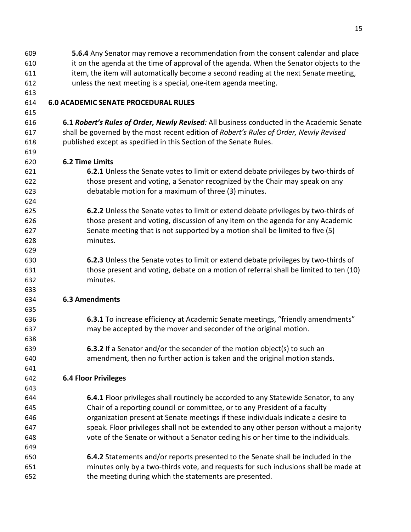| 609 | 5.6.4 Any Senator may remove a recommendation from the consent calendar and place         |
|-----|-------------------------------------------------------------------------------------------|
| 610 | it on the agenda at the time of approval of the agenda. When the Senator objects to the   |
| 611 | item, the item will automatically become a second reading at the next Senate meeting,     |
| 612 | unless the next meeting is a special, one-item agenda meeting.                            |
| 613 |                                                                                           |
| 614 | <b>6.0 ACADEMIC SENATE PROCEDURAL RULES</b>                                               |
| 615 |                                                                                           |
| 616 | 6.1 Robert's Rules of Order, Newly Revised: All business conducted in the Academic Senate |
| 617 | shall be governed by the most recent edition of Robert's Rules of Order, Newly Revised    |
| 618 | published except as specified in this Section of the Senate Rules.                        |
| 619 |                                                                                           |
| 620 | <b>6.2 Time Limits</b>                                                                    |
| 621 | 6.2.1 Unless the Senate votes to limit or extend debate privileges by two-thirds of       |
| 622 | those present and voting, a Senator recognized by the Chair may speak on any              |
| 623 | debatable motion for a maximum of three (3) minutes.                                      |
| 624 |                                                                                           |
| 625 | 6.2.2 Unless the Senate votes to limit or extend debate privileges by two-thirds of       |
| 626 | those present and voting, discussion of any item on the agenda for any Academic           |
| 627 | Senate meeting that is not supported by a motion shall be limited to five (5)             |
| 628 | minutes.                                                                                  |
| 629 |                                                                                           |
| 630 | 6.2.3 Unless the Senate votes to limit or extend debate privileges by two-thirds of       |
| 631 | those present and voting, debate on a motion of referral shall be limited to ten (10)     |
| 632 | minutes.                                                                                  |
| 633 |                                                                                           |
| 634 | <b>6.3 Amendments</b>                                                                     |
| 635 |                                                                                           |
| 636 | 6.3.1 To increase efficiency at Academic Senate meetings, "friendly amendments"           |
| 637 | may be accepted by the mover and seconder of the original motion.                         |
| 638 |                                                                                           |
| 639 | <b>6.3.2</b> If a Senator and/or the seconder of the motion object(s) to such an          |
| 640 | amendment, then no further action is taken and the original motion stands.                |
| 641 |                                                                                           |
| 642 | <b>6.4 Floor Privileges</b>                                                               |
| 643 |                                                                                           |
| 644 | 6.4.1 Floor privileges shall routinely be accorded to any Statewide Senator, to any       |
| 645 | Chair of a reporting council or committee, or to any President of a faculty               |
| 646 | organization present at Senate meetings if these individuals indicate a desire to         |
| 647 | speak. Floor privileges shall not be extended to any other person without a majority      |
| 648 | vote of the Senate or without a Senator ceding his or her time to the individuals.        |
| 649 |                                                                                           |
| 650 | 6.4.2 Statements and/or reports presented to the Senate shall be included in the          |
| 651 | minutes only by a two-thirds vote, and requests for such inclusions shall be made at      |
| 652 | the meeting during which the statements are presented.                                    |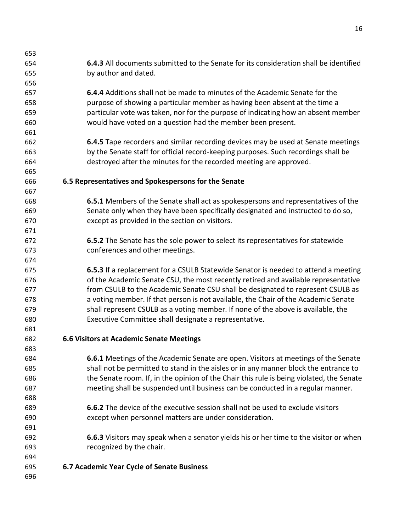| 653 |                                                                                              |
|-----|----------------------------------------------------------------------------------------------|
| 654 | <b>6.4.3</b> All documents submitted to the Senate for its consideration shall be identified |
| 655 | by author and dated.                                                                         |
| 656 |                                                                                              |
| 657 | <b>6.4.4</b> Additions shall not be made to minutes of the Academic Senate for the           |
| 658 | purpose of showing a particular member as having been absent at the time a                   |
| 659 | particular vote was taken, nor for the purpose of indicating how an absent member            |
| 660 | would have voted on a question had the member been present.                                  |
| 661 |                                                                                              |
| 662 | 6.4.5 Tape recorders and similar recording devices may be used at Senate meetings            |
| 663 | by the Senate staff for official record-keeping purposes. Such recordings shall be           |
| 664 | destroyed after the minutes for the recorded meeting are approved.                           |
| 665 |                                                                                              |
| 666 | 6.5 Representatives and Spokespersons for the Senate                                         |
| 667 |                                                                                              |
| 668 | 6.5.1 Members of the Senate shall act as spokespersons and representatives of the            |
| 669 | Senate only when they have been specifically designated and instructed to do so,             |
| 670 | except as provided in the section on visitors.                                               |
| 671 |                                                                                              |
| 672 | <b>6.5.2</b> The Senate has the sole power to select its representatives for statewide       |
| 673 | conferences and other meetings.                                                              |
| 674 |                                                                                              |
| 675 | 6.5.3 If a replacement for a CSULB Statewide Senator is needed to attend a meeting           |
| 676 | of the Academic Senate CSU, the most recently retired and available representative           |
| 677 | from CSULB to the Academic Senate CSU shall be designated to represent CSULB as              |
| 678 | a voting member. If that person is not available, the Chair of the Academic Senate           |
| 679 | shall represent CSULB as a voting member. If none of the above is available, the             |
| 680 | Executive Committee shall designate a representative.                                        |
| 681 |                                                                                              |
| 682 | <b>6.6 Visitors at Academic Senate Meetings</b>                                              |
| 683 |                                                                                              |
| 684 | <b>6.6.1</b> Meetings of the Academic Senate are open. Visitors at meetings of the Senate    |
| 685 | shall not be permitted to stand in the aisles or in any manner block the entrance to         |
| 686 | the Senate room. If, in the opinion of the Chair this rule is being violated, the Senate     |
| 687 | meeting shall be suspended until business can be conducted in a regular manner.              |
| 688 |                                                                                              |
| 689 | <b>6.6.2</b> The device of the executive session shall not be used to exclude visitors       |
| 690 | except when personnel matters are under consideration.                                       |
| 691 |                                                                                              |
| 692 | <b>6.6.3</b> Visitors may speak when a senator yields his or her time to the visitor or when |
| 693 | recognized by the chair.                                                                     |
| 694 |                                                                                              |
| 695 | 6.7 Academic Year Cycle of Senate Business                                                   |
| 696 |                                                                                              |
|     |                                                                                              |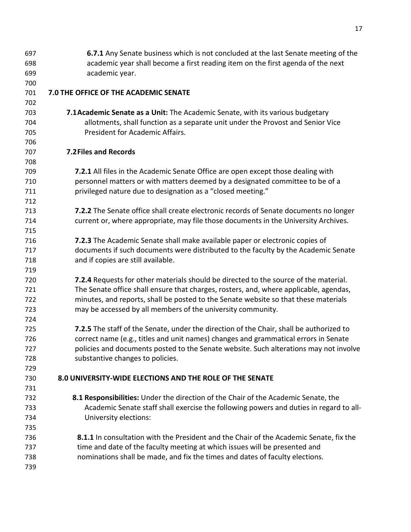| 697        | <b>6.7.1</b> Any Senate business which is not concluded at the last Senate meeting of the                          |
|------------|--------------------------------------------------------------------------------------------------------------------|
| 698        | academic year shall become a first reading item on the first agenda of the next                                    |
| 699        | academic year.                                                                                                     |
| 700        |                                                                                                                    |
| 701        | 7.0 THE OFFICE OF THE ACADEMIC SENATE                                                                              |
| 702        |                                                                                                                    |
| 703        | 7.1 Academic Senate as a Unit: The Academic Senate, with its various budgetary                                     |
| 704<br>705 | allotments, shall function as a separate unit under the Provost and Senior Vice<br>President for Academic Affairs. |
| 706        |                                                                                                                    |
| 707        | <b>7.2 Files and Records</b>                                                                                       |
| 708        |                                                                                                                    |
| 709        | 7.2.1 All files in the Academic Senate Office are open except those dealing with                                   |
| 710        | personnel matters or with matters deemed by a designated committee to be of a                                      |
| 711        | privileged nature due to designation as a "closed meeting."                                                        |
| 712        |                                                                                                                    |
| 713        | <b>7.2.2</b> The Senate office shall create electronic records of Senate documents no longer                       |
| 714        | current or, where appropriate, may file those documents in the University Archives.                                |
| 715        |                                                                                                                    |
| 716        | 7.2.3 The Academic Senate shall make available paper or electronic copies of                                       |
| 717        | documents if such documents were distributed to the faculty by the Academic Senate                                 |
| 718        | and if copies are still available.                                                                                 |
| 719        |                                                                                                                    |
| 720        | <b>7.2.4</b> Requests for other materials should be directed to the source of the material.                        |
| 721        | The Senate office shall ensure that charges, rosters, and, where applicable, agendas,                              |
| 722        | minutes, and reports, shall be posted to the Senate website so that these materials                                |
| 723        | may be accessed by all members of the university community.                                                        |
| 724        |                                                                                                                    |
| 725        | 7.2.5 The staff of the Senate, under the direction of the Chair, shall be authorized to                            |
| 726        | correct name (e.g., titles and unit names) changes and grammatical errors in Senate                                |
| 727        | policies and documents posted to the Senate website. Such alterations may not involve                              |
| 728<br>729 | substantive changes to policies.                                                                                   |
| 730        | 8.0 UNIVERSITY-WIDE ELECTIONS AND THE ROLE OF THE SENATE                                                           |
| 731        |                                                                                                                    |
| 732        | 8.1 Responsibilities: Under the direction of the Chair of the Academic Senate, the                                 |
| 733        | Academic Senate staff shall exercise the following powers and duties in regard to all-                             |
| 734        | University elections:                                                                                              |
| 735        |                                                                                                                    |
| 736        | 8.1.1 In consultation with the President and the Chair of the Academic Senate, fix the                             |
| 737        | time and date of the faculty meeting at which issues will be presented and                                         |
| 738        | nominations shall be made, and fix the times and dates of faculty elections.                                       |
| 739        |                                                                                                                    |
|            |                                                                                                                    |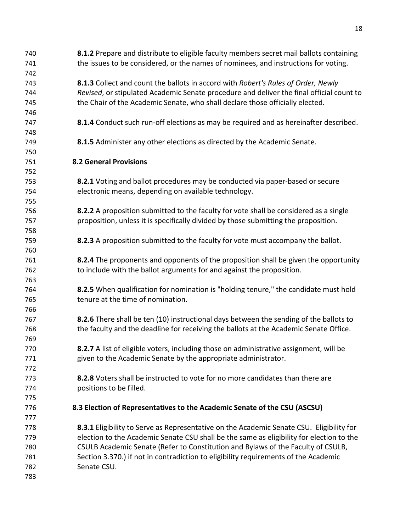| 740 | 8.1.2 Prepare and distribute to eligible faculty members secret mail ballots containing  |
|-----|------------------------------------------------------------------------------------------|
| 741 | the issues to be considered, or the names of nominees, and instructions for voting.      |
| 742 |                                                                                          |
| 743 | 8.1.3 Collect and count the ballots in accord with Robert's Rules of Order, Newly        |
| 744 | Revised, or stipulated Academic Senate procedure and deliver the final official count to |
| 745 | the Chair of the Academic Senate, who shall declare those officially elected.            |
| 746 |                                                                                          |
| 747 | 8.1.4 Conduct such run-off elections as may be required and as hereinafter described.    |
| 748 |                                                                                          |
| 749 | 8.1.5 Administer any other elections as directed by the Academic Senate.                 |
| 750 |                                                                                          |
| 751 | <b>8.2 General Provisions</b>                                                            |
| 752 |                                                                                          |
| 753 | 8.2.1 Voting and ballot procedures may be conducted via paper-based or secure            |
| 754 | electronic means, depending on available technology.                                     |
| 755 |                                                                                          |
| 756 | 8.2.2 A proposition submitted to the faculty for vote shall be considered as a single    |
| 757 | proposition, unless it is specifically divided by those submitting the proposition.      |
| 758 |                                                                                          |
| 759 | 8.2.3 A proposition submitted to the faculty for vote must accompany the ballot.         |
| 760 |                                                                                          |
| 761 | 8.2.4 The proponents and opponents of the proposition shall be given the opportunity     |
| 762 | to include with the ballot arguments for and against the proposition.                    |
| 763 |                                                                                          |
| 764 | 8.2.5 When qualification for nomination is "holding tenure," the candidate must hold     |
| 765 | tenure at the time of nomination.                                                        |
| 766 |                                                                                          |
| 767 | 8.2.6 There shall be ten (10) instructional days between the sending of the ballots to   |
| 768 | the faculty and the deadline for receiving the ballots at the Academic Senate Office.    |
| 769 |                                                                                          |
| 770 | 8.2.7 A list of eligible voters, including those on administrative assignment, will be   |
| 771 | given to the Academic Senate by the appropriate administrator.                           |
| 772 |                                                                                          |
| 773 | 8.2.8 Voters shall be instructed to vote for no more candidates than there are           |
| 774 | positions to be filled.                                                                  |
| 775 |                                                                                          |
| 776 | 8.3 Election of Representatives to the Academic Senate of the CSU (ASCSU)                |
| 777 |                                                                                          |
| 778 | 8.3.1 Eligibility to Serve as Representative on the Academic Senate CSU. Eligibility for |
| 779 | election to the Academic Senate CSU shall be the same as eligibility for election to the |
| 780 | CSULB Academic Senate (Refer to Constitution and Bylaws of the Faculty of CSULB,         |
| 781 | Section 3.370.) if not in contradiction to eligibility requirements of the Academic      |
| 782 | Senate CSU.                                                                              |
| 783 |                                                                                          |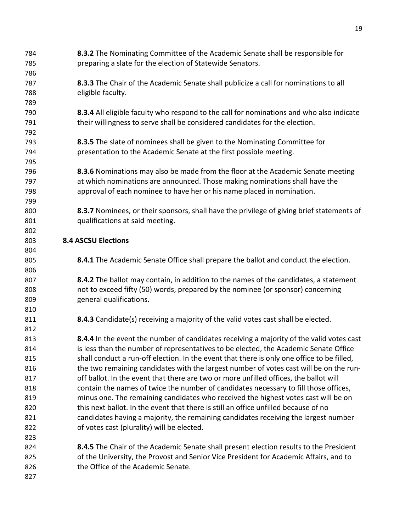| 784 | 8.3.2 The Nominating Committee of the Academic Senate shall be responsible for             |
|-----|--------------------------------------------------------------------------------------------|
| 785 | preparing a slate for the election of Statewide Senators.                                  |
| 786 |                                                                                            |
| 787 | 8.3.3 The Chair of the Academic Senate shall publicize a call for nominations to all       |
| 788 | eligible faculty.                                                                          |
| 789 |                                                                                            |
| 790 | 8.3.4 All eligible faculty who respond to the call for nominations and who also indicate   |
| 791 | their willingness to serve shall be considered candidates for the election.                |
| 792 |                                                                                            |
| 793 | 8.3.5 The slate of nominees shall be given to the Nominating Committee for                 |
| 794 | presentation to the Academic Senate at the first possible meeting.                         |
| 795 |                                                                                            |
| 796 | 8.3.6 Nominations may also be made from the floor at the Academic Senate meeting           |
| 797 | at which nominations are announced. Those making nominations shall have the                |
| 798 | approval of each nominee to have her or his name placed in nomination.                     |
| 799 |                                                                                            |
| 800 | 8.3.7 Nominees, or their sponsors, shall have the privilege of giving brief statements of  |
| 801 | qualifications at said meeting.                                                            |
| 802 |                                                                                            |
| 803 | <b>8.4 ASCSU Elections</b>                                                                 |
| 804 |                                                                                            |
| 805 | 8.4.1 The Academic Senate Office shall prepare the ballot and conduct the election.        |
| 806 |                                                                                            |
| 807 | 8.4.2 The ballot may contain, in addition to the names of the candidates, a statement      |
| 808 | not to exceed fifty (50) words, prepared by the nominee (or sponsor) concerning            |
| 809 | general qualifications.                                                                    |
| 810 |                                                                                            |
| 811 | 8.4.3 Candidate(s) receiving a majority of the valid votes cast shall be elected.          |
| 812 |                                                                                            |
| 813 | 8.4.4 In the event the number of candidates receiving a majority of the valid votes cast   |
| 814 | is less than the number of representatives to be elected, the Academic Senate Office       |
| 815 | shall conduct a run-off election. In the event that there is only one office to be filled, |
| 816 | the two remaining candidates with the largest number of votes cast will be on the run-     |
| 817 | off ballot. In the event that there are two or more unfilled offices, the ballot will      |
| 818 | contain the names of twice the number of candidates necessary to fill those offices,       |
| 819 | minus one. The remaining candidates who received the highest votes cast will be on         |
| 820 | this next ballot. In the event that there is still an office unfilled because of no        |
| 821 | candidates having a majority, the remaining candidates receiving the largest number        |
| 822 | of votes cast (plurality) will be elected.                                                 |
| 823 |                                                                                            |
| 824 | 8.4.5 The Chair of the Academic Senate shall present election results to the President     |
| 825 | of the University, the Provost and Senior Vice President for Academic Affairs, and to      |
| 826 | the Office of the Academic Senate.                                                         |
| 827 |                                                                                            |